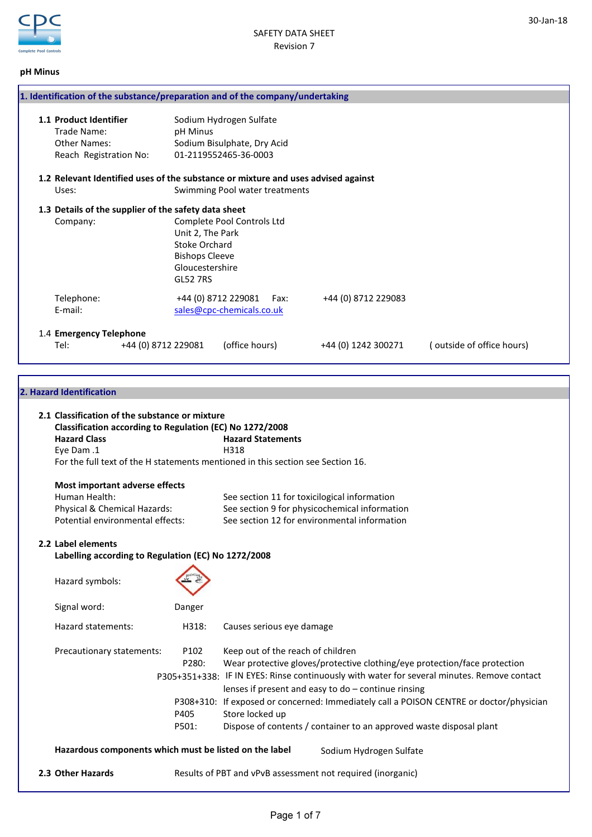

# pH Minus

| 1. Identification of the substance/preparation and of the company/undertaking          |                                                                                                  |                                                                                 |                     |                           |
|----------------------------------------------------------------------------------------|--------------------------------------------------------------------------------------------------|---------------------------------------------------------------------------------|---------------------|---------------------------|
| 1.1 Product Identifier<br>Trade Name:<br><b>Other Names:</b><br>Reach Registration No: | pH Minus                                                                                         | Sodium Hydrogen Sulfate<br>Sodium Bisulphate, Dry Acid<br>01-2119552465-36-0003 |                     |                           |
| 1.2 Relevant Identified uses of the substance or mixture and uses advised against      |                                                                                                  |                                                                                 |                     |                           |
| Uses:                                                                                  |                                                                                                  | Swimming Pool water treatments                                                  |                     |                           |
| 1.3 Details of the supplier of the safety data sheet                                   |                                                                                                  |                                                                                 |                     |                           |
| Company:                                                                               | Unit 2, The Park<br>Stoke Orchard<br><b>Bishops Cleeve</b><br>Gloucestershire<br><b>GL52 7RS</b> | Complete Pool Controls Ltd                                                      |                     |                           |
| Telephone:                                                                             |                                                                                                  | +44 (0) 8712 229081<br>Fax:                                                     | +44 (0) 8712 229083 |                           |
| F-mail:                                                                                |                                                                                                  | sales@cpc-chemicals.co.uk                                                       |                     |                           |
| 1.4 Emergency Telephone                                                                |                                                                                                  |                                                                                 |                     |                           |
| Tel:                                                                                   | +44 (0) 8712 229081                                                                              | (office hours)                                                                  | +44 (0) 1242 300271 | (outside of office hours) |

# 2. Hazard Identification

| 2.1 Classification of the substance or mixture           |        |                                                                                             |  |  |
|----------------------------------------------------------|--------|---------------------------------------------------------------------------------------------|--|--|
| Classification according to Regulation (EC) No 1272/2008 |        |                                                                                             |  |  |
| <b>Hazard Class</b>                                      |        | <b>Hazard Statements</b>                                                                    |  |  |
| Eye Dam .1                                               |        | H318                                                                                        |  |  |
|                                                          |        | For the full text of the H statements mentioned in this section see Section 16.             |  |  |
| Most important adverse effects                           |        |                                                                                             |  |  |
| Human Health:                                            |        | See section 11 for toxicilogical information                                                |  |  |
| Physical & Chemical Hazards:                             |        | See section 9 for physicochemical information                                               |  |  |
| Potential environmental effects:                         |        | See section 12 for environmental information                                                |  |  |
| 2.2 Label elements                                       |        |                                                                                             |  |  |
| Labelling according to Regulation (EC) No 1272/2008      |        |                                                                                             |  |  |
|                                                          |        |                                                                                             |  |  |
| Hazard symbols:                                          |        |                                                                                             |  |  |
|                                                          |        |                                                                                             |  |  |
| Signal word:                                             | Danger |                                                                                             |  |  |
| Hazard statements:                                       | H318:  | Causes serious eye damage                                                                   |  |  |
| Precautionary statements:                                | P102   | Keep out of the reach of children                                                           |  |  |
|                                                          | P280:  | Wear protective gloves/protective clothing/eye protection/face protection                   |  |  |
|                                                          |        | P305+351+338: IF IN EYES: Rinse continuously with water for several minutes. Remove contact |  |  |
|                                                          |        | lenses if present and easy to $do$ – continue rinsing                                       |  |  |
|                                                          |        | P308+310: If exposed or concerned: Immediately call a POISON CENTRE or doctor/physician     |  |  |
|                                                          | P405   | Store locked up                                                                             |  |  |
|                                                          | P501:  | Dispose of contents / container to an approved waste disposal plant                         |  |  |
| Hazardous components which must be listed on the label   |        | Sodium Hydrogen Sulfate                                                                     |  |  |
| 2.3 Other Hazards                                        |        | Results of PBT and vPvB assessment not required (inorganic)                                 |  |  |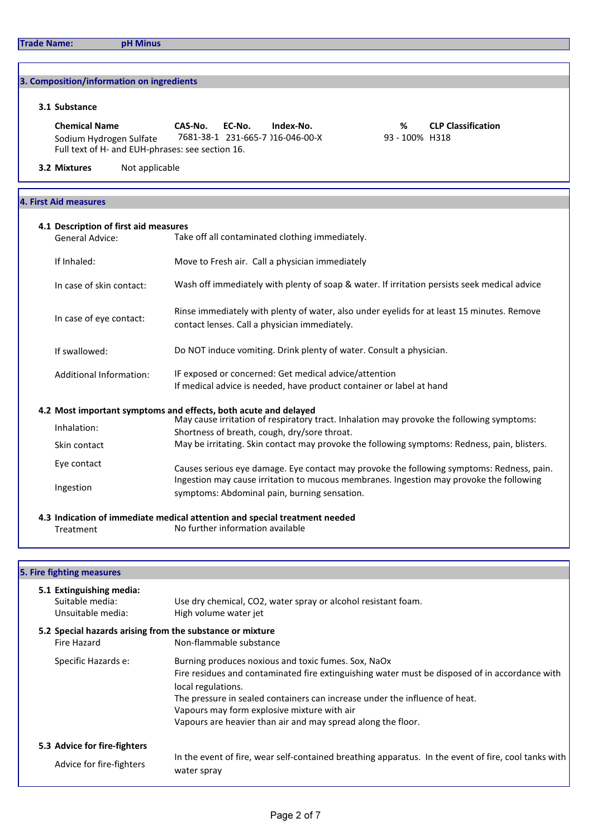# 3. Composition/information on ingredients

# 3.1 Substance

Chemical Name CAS-No. EC-No. Index-No. % CLP Classification Sodium Hydrogen Sulfate 7681-38-1 231-665-7 116-046-00-X 93 - 100% H318 Full text of H- and EUH-phrases: see section 16.

# **3.2 Mixtures** Not applicable

# 4. First Aid measures

| <b>General Advice:</b>   | Take off all contaminated clothing immediately.                                                                                             |
|--------------------------|---------------------------------------------------------------------------------------------------------------------------------------------|
| If Inhaled:              | Move to Fresh air. Call a physician immediately                                                                                             |
| In case of skin contact: | Wash off immediately with plenty of soap & water. If irritation persists seek medical advice                                                |
| In case of eye contact:  | Rinse immediately with plenty of water, also under eyelids for at least 15 minutes. Remove<br>contact lenses. Call a physician immediately. |
| If swallowed:            | Do NOT induce vomiting. Drink plenty of water. Consult a physician.                                                                         |
| Additional Information:  | IF exposed or concerned: Get medical advice/attention<br>If medical advice is needed, have product container or label at hand               |
|                          | 4.2 Most important symptoms and effects, both acute and delayed                                                                             |
| Inhalation:              | May cause irritation of respiratory tract. Inhalation may provoke the following symptoms:<br>Shortness of breath, cough, dry/sore throat.   |
| Skin contact             | May be irritating. Skin contact may provoke the following symptoms: Redness, pain, blisters.                                                |
| Eye contact              | Causes serious eye damage. Eye contact may provoke the following symptoms: Redness, pain.                                                   |
| Ingestion                | Ingestion may cause irritation to mucous membranes. Ingestion may provoke the following<br>symptoms: Abdominal pain, burning sensation.     |

Treatment No further information available

# 5. Fire fighting measures

| 5.1 Extinguishing media:<br>Suitable media:<br>Unsuitable media:         | Use dry chemical, CO2, water spray or alcohol resistant foam.<br>High volume water jet                                                                                                                                                                                                                                                                                    |
|--------------------------------------------------------------------------|---------------------------------------------------------------------------------------------------------------------------------------------------------------------------------------------------------------------------------------------------------------------------------------------------------------------------------------------------------------------------|
| 5.2 Special hazards arising from the substance or mixture<br>Fire Hazard | Non-flammable substance                                                                                                                                                                                                                                                                                                                                                   |
| Specific Hazards e:                                                      | Burning produces noxious and toxic fumes. Sox, NaOx<br>Fire residues and contaminated fire extinguishing water must be disposed of in accordance with<br>local regulations.<br>The pressure in sealed containers can increase under the influence of heat.<br>Vapours may form explosive mixture with air<br>Vapours are heavier than air and may spread along the floor. |
| 5.3 Advice for fire-fighters<br>Advice for fire-fighters                 | In the event of fire, wear self-contained breathing apparatus. In the event of fire, cool tanks with<br>water spray                                                                                                                                                                                                                                                       |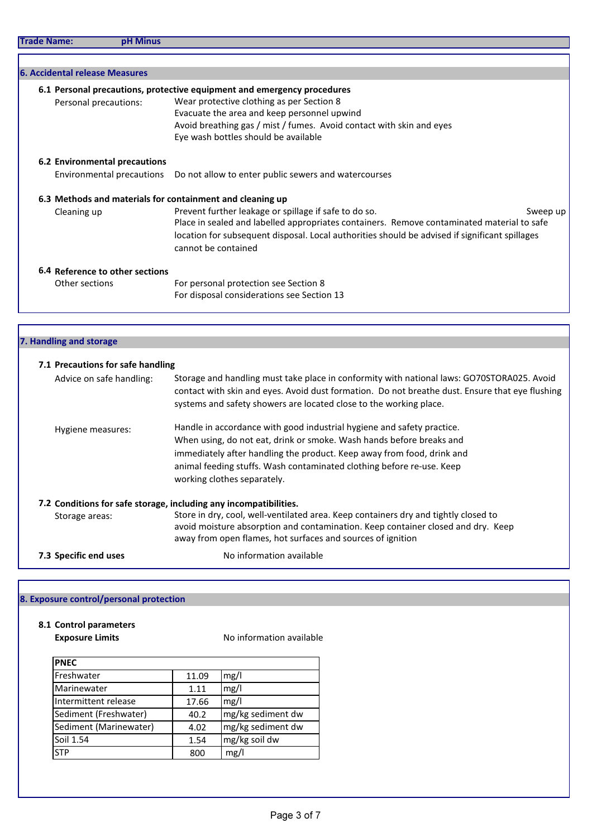| 6. Accidental release Measures                            |                                                                                                |
|-----------------------------------------------------------|------------------------------------------------------------------------------------------------|
|                                                           | 6.1 Personal precautions, protective equipment and emergency procedures                        |
| Personal precautions:                                     | Wear protective clothing as per Section 8                                                      |
|                                                           | Evacuate the area and keep personnel upwind                                                    |
|                                                           | Avoid breathing gas / mist / fumes. Avoid contact with skin and eyes                           |
|                                                           | Eye wash bottles should be available                                                           |
| 6.2 Environmental precautions                             |                                                                                                |
|                                                           | Environmental precautions Do not allow to enter public sewers and watercourses                 |
| 6.3 Methods and materials for containment and cleaning up |                                                                                                |
| Cleaning up                                               | Prevent further leakage or spillage if safe to do so.<br>Sweep up                              |
|                                                           | Place in sealed and labelled appropriates containers. Remove contaminated material to safe     |
|                                                           | location for subsequent disposal. Local authorities should be advised if significant spillages |
|                                                           | cannot be contained                                                                            |
| 6.4 Reference to other sections                           |                                                                                                |
| Other sections                                            | For personal protection see Section 8                                                          |
|                                                           | For disposal considerations see Section 13                                                     |
|                                                           |                                                                                                |
|                                                           |                                                                                                |
| 7. Handling and storage                                   |                                                                                                |

| 7.1 Precautions for safe handling |                                                                                                                                                                                                                                                                     |
|-----------------------------------|---------------------------------------------------------------------------------------------------------------------------------------------------------------------------------------------------------------------------------------------------------------------|
| Advice on safe handling:          | Storage and handling must take place in conformity with national laws: GO70STORA025. Avoid<br>contact with skin and eyes. Avoid dust formation. Do not breathe dust. Ensure that eye flushing<br>systems and safety showers are located close to the working place. |
| Hygiene measures:                 | Handle in accordance with good industrial hygiene and safety practice.                                                                                                                                                                                              |
|                                   | When using, do not eat, drink or smoke. Wash hands before breaks and                                                                                                                                                                                                |
|                                   | immediately after handling the product. Keep away from food, drink and                                                                                                                                                                                              |
|                                   | animal feeding stuffs. Wash contaminated clothing before re-use. Keep                                                                                                                                                                                               |
|                                   | working clothes separately.                                                                                                                                                                                                                                         |
|                                   | 7.2 Conditions for safe storage, including any incompatibilities.                                                                                                                                                                                                   |
| Storage areas:                    | Store in dry, cool, well-ventilated area. Keep containers dry and tightly closed to                                                                                                                                                                                 |
|                                   | avoid moisture absorption and contamination. Keep container closed and dry. Keep<br>away from open flames, hot surfaces and sources of ignition                                                                                                                     |
| 7.3 Specific end uses             | No information available                                                                                                                                                                                                                                            |

# 8. Exposure control/personal protection

# 8.1 Control parameters

Exposure Limits **Exposure Limits** No information available

| <b>PNEC</b>            |       |                   |  |
|------------------------|-------|-------------------|--|
| Freshwater             | 11.09 | mg/l              |  |
| Marinewater            | 1.11  | mg/l              |  |
| Intermittent release   | 17.66 | mg/l              |  |
| Sediment (Freshwater)  | 40.2  | mg/kg sediment dw |  |
| Sediment (Marinewater) | 4.02  | mg/kg sediment dw |  |
| Soil 1.54              | 1.54  | mg/kg soil dw     |  |
| <b>STP</b>             | 800   | mg/l              |  |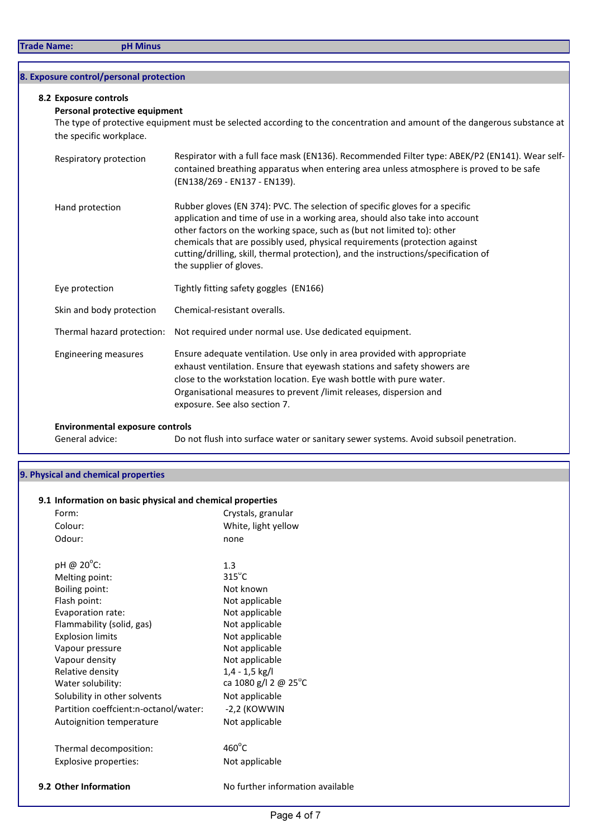# 8. Exposure control/personal protection

### 8.2 Exposure controls

## Personal protective equipment

The type of protective equipment must be selected according to the concentration and amount of the dangerous substance at the specific workplace.

| Respiratory protection                 | Respirator with a full face mask (EN136). Recommended Filter type: ABEK/P2 (EN141). Wear self-<br>contained breathing apparatus when entering area unless atmosphere is proved to be safe<br>(EN138/269 - EN137 - EN139).                                                                                                                                                                                                                |
|----------------------------------------|------------------------------------------------------------------------------------------------------------------------------------------------------------------------------------------------------------------------------------------------------------------------------------------------------------------------------------------------------------------------------------------------------------------------------------------|
| Hand protection                        | Rubber gloves (EN 374): PVC. The selection of specific gloves for a specific<br>application and time of use in a working area, should also take into account<br>other factors on the working space, such as (but not limited to): other<br>chemicals that are possibly used, physical requirements (protection against<br>cutting/drilling, skill, thermal protection), and the instructions/specification of<br>the supplier of gloves. |
| Eye protection                         | Tightly fitting safety goggles (EN166)                                                                                                                                                                                                                                                                                                                                                                                                   |
| Skin and body protection               | Chemical-resistant overalls.                                                                                                                                                                                                                                                                                                                                                                                                             |
| Thermal hazard protection:             | Not required under normal use. Use dedicated equipment.                                                                                                                                                                                                                                                                                                                                                                                  |
| <b>Engineering measures</b>            | Ensure adequate ventilation. Use only in area provided with appropriate<br>exhaust ventilation. Ensure that eyewash stations and safety showers are<br>close to the workstation location. Eye wash bottle with pure water.<br>Organisational measures to prevent /limit releases, dispersion and<br>exposure. See also section 7.                                                                                                        |
| <b>Environmental exposure controls</b> |                                                                                                                                                                                                                                                                                                                                                                                                                                          |
| General advice:                        | Do not flush into surface water or sanitary sewer systems. Avoid subsoil penetration.                                                                                                                                                                                                                                                                                                                                                    |

# 9. Physical and chemical properties

| Form:                                 | Crystals, granular   |
|---------------------------------------|----------------------|
| Colour:                               | White, light yellow  |
| Odour:                                | none                 |
| pH @ $20^{\circ}$ C:                  | 1.3                  |
| Melting point:                        | $315^{\circ}$ C      |
| Boiling point:                        | Not known            |
| Flash point:                          | Not applicable       |
| Evaporation rate:                     | Not applicable       |
| Flammability (solid, gas)             | Not applicable       |
| <b>Explosion limits</b>               | Not applicable       |
| Vapour pressure                       | Not applicable       |
| Vapour density                        | Not applicable       |
| Relative density                      | 1,4 - 1,5 kg/l       |
| Water solubility:                     | ca 1080 g/l 2 @ 25°C |
| Solubility in other solvents          | Not applicable       |
| Partition coeffcient:n-octanol/water: | -2,2 (KOWWIN         |
| Autoignition temperature              | Not applicable       |
| Thermal decomposition:                | $460^{\circ}$ C      |
| Explosive properties:                 | Not applicable       |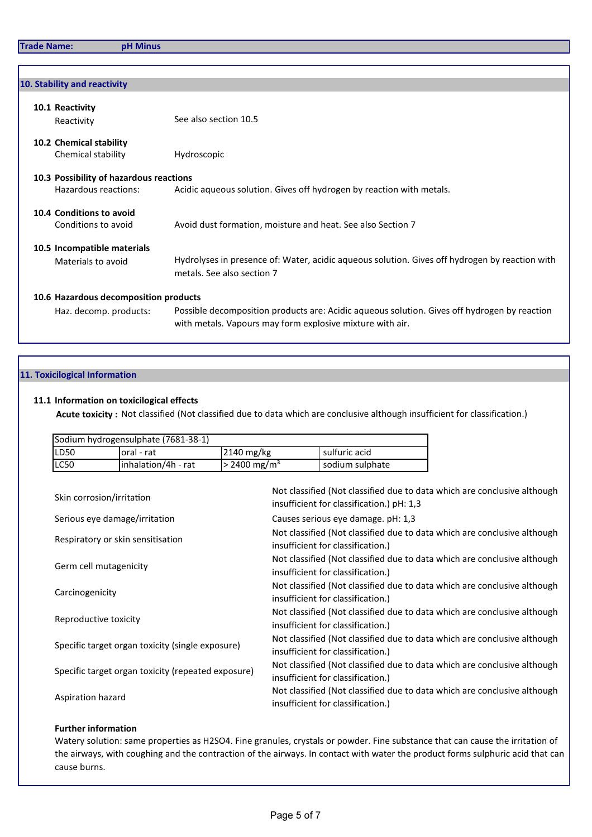| 10. Stability and reactivity                  |                                                                                                                                                           |  |  |
|-----------------------------------------------|-----------------------------------------------------------------------------------------------------------------------------------------------------------|--|--|
| 10.1 Reactivity<br>Reactivity                 | See also section 10.5                                                                                                                                     |  |  |
| 10.2 Chemical stability<br>Chemical stability | Hydroscopic                                                                                                                                               |  |  |
| 10.3 Possibility of hazardous reactions       |                                                                                                                                                           |  |  |
| Hazardous reactions:                          | Acidic aqueous solution. Gives off hydrogen by reaction with metals.                                                                                      |  |  |
| 10.4 Conditions to avoid                      |                                                                                                                                                           |  |  |
| Conditions to avoid                           | Avoid dust formation, moisture and heat. See also Section 7                                                                                               |  |  |
| 10.5 Incompatible materials                   |                                                                                                                                                           |  |  |
| Materials to avoid                            | Hydrolyses in presence of: Water, acidic aqueous solution. Gives off hydrogen by reaction with<br>metals. See also section 7                              |  |  |
| 10.6 Hazardous decomposition products         |                                                                                                                                                           |  |  |
| Haz. decomp. products:                        | Possible decomposition products are: Acidic aqueous solution. Gives off hydrogen by reaction<br>with metals. Vapours may form explosive mixture with air. |  |  |

# 11. Toxicilogical Information

# 11.1 Information on toxicilogical effects

Acute toxicity: Not classified (Not classified due to data which are conclusive although insufficient for classification.)

| Sodium hydrogensulphate (7681-38-1) |                     |                            |                 |
|-------------------------------------|---------------------|----------------------------|-----------------|
| ILD <sub>50</sub>                   | loral - rat         | $2140 \text{ mg/kg}$       | sulfuric acid   |
| ILC50                               | inhalation/4h - rat | $> 2400$ mg/m <sup>3</sup> | sodium sulphate |

| Skin corrosion/irritation                          | Not classified (Not classified due to data which are conclusive although<br>insufficient for classification.) pH: 1,3 |
|----------------------------------------------------|-----------------------------------------------------------------------------------------------------------------------|
| Serious eye damage/irritation                      | Causes serious eye damage. pH: 1,3                                                                                    |
| Respiratory or skin sensitisation                  | Not classified (Not classified due to data which are conclusive although<br>insufficient for classification.)         |
| Germ cell mutagenicity                             | Not classified (Not classified due to data which are conclusive although<br>insufficient for classification.)         |
| Carcinogenicity                                    | Not classified (Not classified due to data which are conclusive although<br>insufficient for classification.)         |
| Reproductive toxicity                              | Not classified (Not classified due to data which are conclusive although<br>insufficient for classification.)         |
| Specific target organ toxicity (single exposure)   | Not classified (Not classified due to data which are conclusive although<br>insufficient for classification.)         |
| Specific target organ toxicity (repeated exposure) | Not classified (Not classified due to data which are conclusive although<br>insufficient for classification.)         |
| Aspiration hazard                                  | Not classified (Not classified due to data which are conclusive although<br>insufficient for classification.)         |

## Further information

Watery solution: same properties as H2SO4. Fine granules, crystals or powder. Fine substance that can cause the irritation of the airways, with coughing and the contraction of the airways. In contact with water the product forms sulphuric acid that can cause burns.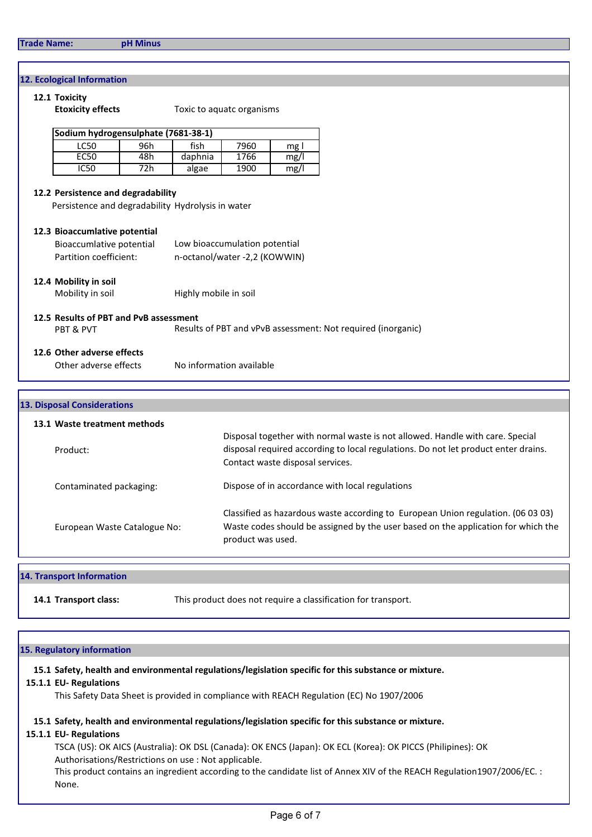### 12. Ecological Information

# 12.1 Toxicity Etoxicity effects Toxic to aquatc organisms Sodium hydrogensulphate (7681-38-1) LC50 96h fish 7960 mg l EC50 48h daphnia 1766 mg/l IC50 72h algae 1900 mg/l 12.2 Persistence and degradability Persistence and degradability Hydrolysis in water 12.3 Bioaccumlative potential Bioaccumlative potential Low bioaccumulation potential Partition coefficient: n-octanol/water -2,2 (KOWWIN) 12.4 Mobility in soil Mobility in soil **Highly mobile in soil** 12.5 Results of PBT and PvB assessment PBT & PVT Results of PBT and vPvB assessment: Not required (inorganic) 12.6 Other adverse effects Other adverse effects No information available

# 13.1 Waste treatment methods Product: Contaminated packaging: European Waste Catalogue No: Classified as hazardous waste according to European Union regulation. (06 03 03) Waste codes should be assigned by the user based on the application for which the product was used. Disposal together with normal waste is not allowed. Handle with care. Special disposal required according to local regulations. Do not let product enter drains. Contact waste disposal services. 13. Disposal Considerations Dispose of in accordance with local regulations

#### 14. Transport Information

14.1 Transport class: This product does not require a classification for transport.

#### 15. Regulatory information

15.1 Safety, health and environmental regulations/legislation specific for this substance or mixture.

#### 15.1.1 EU- Regulations

This Safety Data Sheet is provided in compliance with REACH Regulation (EC) No 1907/2006

### 15.1 Safety, health and environmental regulations/legislation specific for this substance or mixture.

#### 15.1.1 EU- Regulations

 TSCA (US): OK AICS (Australia): OK DSL (Canada): OK ENCS (Japan): OK ECL (Korea): OK PICCS (Philipines): OK Authorisations/Restrictions on use : Not applicable.

This product contains an ingredient according to the candidate list of Annex XIV of the REACH Regulation1907/2006/EC. : None.